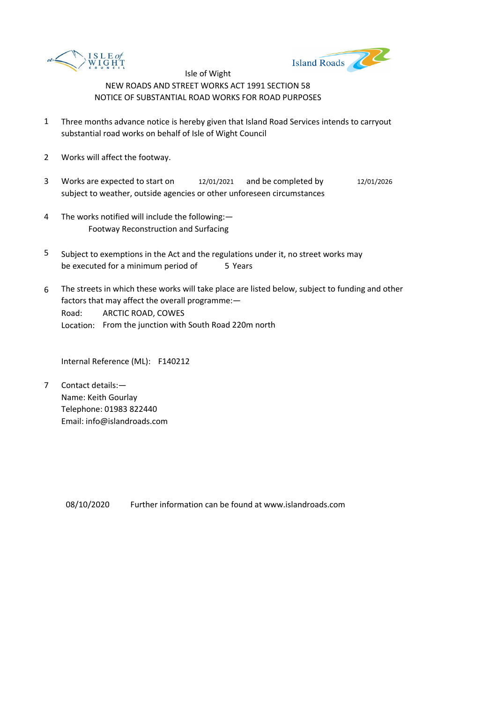



- 1 Three months advance notice is hereby given that Island Road Services intends to carryout substantial road works on behalf of Isle of Wight Council
- 2 Works will affect the footway.
- 3 Works are expected to start on  $12/01/2021$  and be completed by  $12/01/2026$ subject to weather, outside agencies or other unforeseen circumstances
- 4 The works notified will include the following:— Footway Reconstruction and Surfacing
- 5 be executed for a minimum period of 5 Years Subject to exemptions in the Act and the regulations under it, no street works may
- 6 Road: Location: From the junction with South Road 220m north The streets in which these works will take place are listed below, subject to funding and other factors that may affect the overall programme:— ARCTIC ROAD, COWES

Internal Reference (ML): F140212

7 Contact details:— Name: Keith Gourlay Telephone: 01983 822440 Email: info@islandroads.com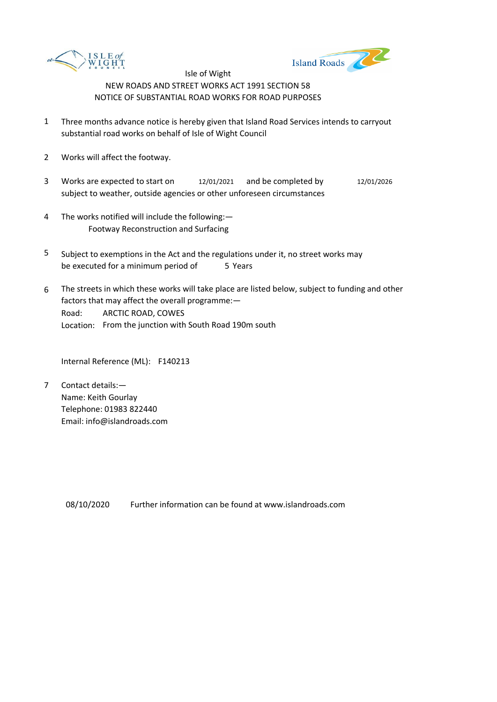



- 1 Three months advance notice is hereby given that Island Road Services intends to carryout substantial road works on behalf of Isle of Wight Council
- 2 Works will affect the footway.
- 3 Works are expected to start on  $12/01/2021$  and be completed by  $12/01/2026$ subject to weather, outside agencies or other unforeseen circumstances
- 4 The works notified will include the following:— Footway Reconstruction and Surfacing
- 5 be executed for a minimum period of 5 Years Subject to exemptions in the Act and the regulations under it, no street works may
- 6 Road: Location: From the junction with South Road 190m south The streets in which these works will take place are listed below, subject to funding and other factors that may affect the overall programme:— ARCTIC ROAD, COWES

Internal Reference (ML): F140213

7 Contact details:— Name: Keith Gourlay Telephone: 01983 822440 Email: info@islandroads.com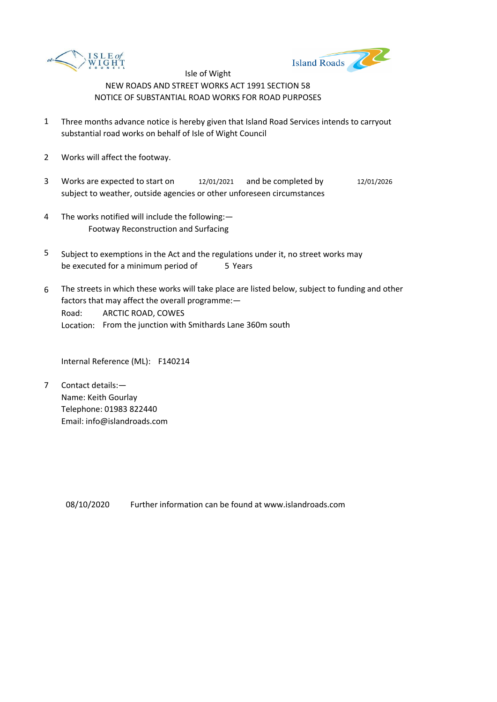



- 1 Three months advance notice is hereby given that Island Road Services intends to carryout substantial road works on behalf of Isle of Wight Council
- 2 Works will affect the footway.
- 3 Works are expected to start on  $12/01/2021$  and be completed by  $12/01/2026$ subject to weather, outside agencies or other unforeseen circumstances
- 4 The works notified will include the following:— Footway Reconstruction and Surfacing
- 5 be executed for a minimum period of 5 Years Subject to exemptions in the Act and the regulations under it, no street works may
- 6 Road: Location: From the junction with Smithards Lane 360m south The streets in which these works will take place are listed below, subject to funding and other factors that may affect the overall programme:— ARCTIC ROAD, COWES

Internal Reference (ML): F140214

7 Contact details:— Name: Keith Gourlay Telephone: 01983 822440 Email: info@islandroads.com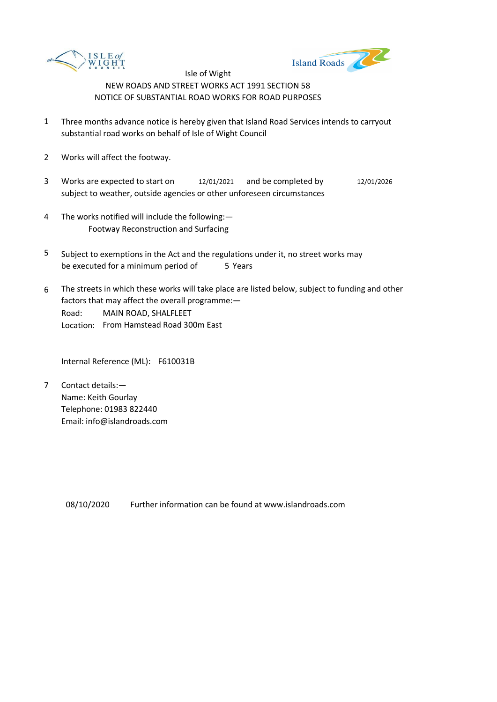



- 1 Three months advance notice is hereby given that Island Road Services intends to carryout substantial road works on behalf of Isle of Wight Council
- 2 Works will affect the footway.
- 3 Works are expected to start on  $12/01/2021$  and be completed by  $12/01/2026$ subject to weather, outside agencies or other unforeseen circumstances
- 4 The works notified will include the following:— Footway Reconstruction and Surfacing
- 5 be executed for a minimum period of 5 Years Subject to exemptions in the Act and the regulations under it, no street works may
- 6 Road: Location: From Hamstead Road 300m East The streets in which these works will take place are listed below, subject to funding and other factors that may affect the overall programme:— MAIN ROAD, SHALFLEET

Internal Reference (ML): F610031B

7 Contact details:— Name: Keith Gourlay Telephone: 01983 822440 Email: info@islandroads.com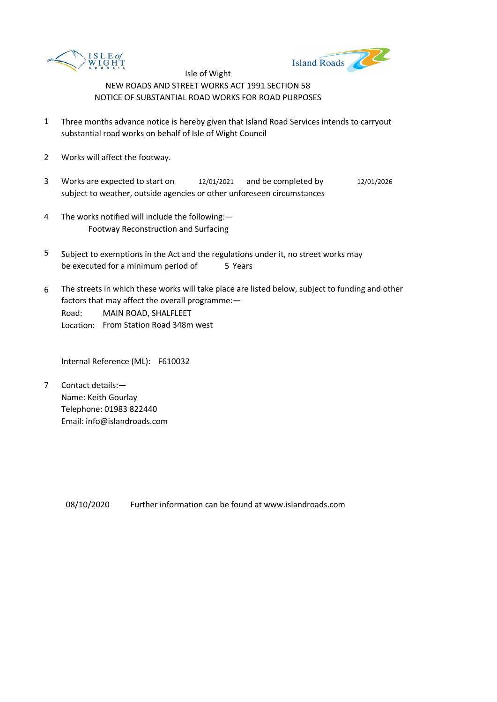



- 1 Three months advance notice is hereby given that Island Road Services intends to carryout substantial road works on behalf of Isle of Wight Council
- 2 Works will affect the footway.
- 3 Works are expected to start on  $12/01/2021$  and be completed by  $12/01/2026$ subject to weather, outside agencies or other unforeseen circumstances
- 4 The works notified will include the following:— Footway Reconstruction and Surfacing
- 5 be executed for a minimum period of 5 Years Subject to exemptions in the Act and the regulations under it, no street works may
- 6 Road: Location: From Station Road 348m west The streets in which these works will take place are listed below, subject to funding and other factors that may affect the overall programme:— MAIN ROAD, SHALFLEET

Internal Reference (ML): F610032

7 Contact details:— Name: Keith Gourlay Telephone: 01983 822440 Email: info@islandroads.com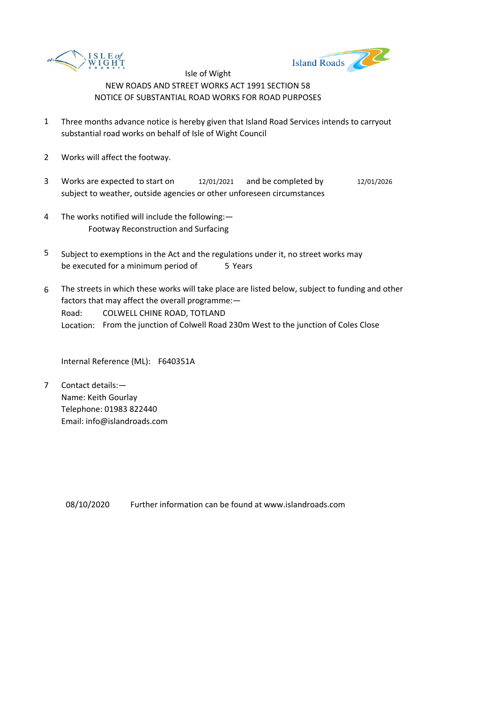



- 1 Three months advance notice is hereby given that Island Road Services intends to carryout substantial road works on behalf of Isle of Wight Council
- 2 Works will affect the footway.
- 3 Works are expected to start on  $12/01/2021$  and be completed by  $12/01/2026$ subject to weather, outside agencies or other unforeseen circumstances
- 4 The works notified will include the following:— Footway Reconstruction and Surfacing
- 5 be executed for a minimum period of 5 Years Subject to exemptions in the Act and the regulations under it, no street works may
- 6 Road: Location: From the junction of Colwell Road 230m West to the junction of Coles Close The streets in which these works will take place are listed below, subject to funding and other factors that may affect the overall programme:— COLWELL CHINE ROAD, TOTLAND

Internal Reference (ML): F640351A

7 Contact details:— Name: Keith Gourlay Telephone: 01983 822440 Email: info@islandroads.com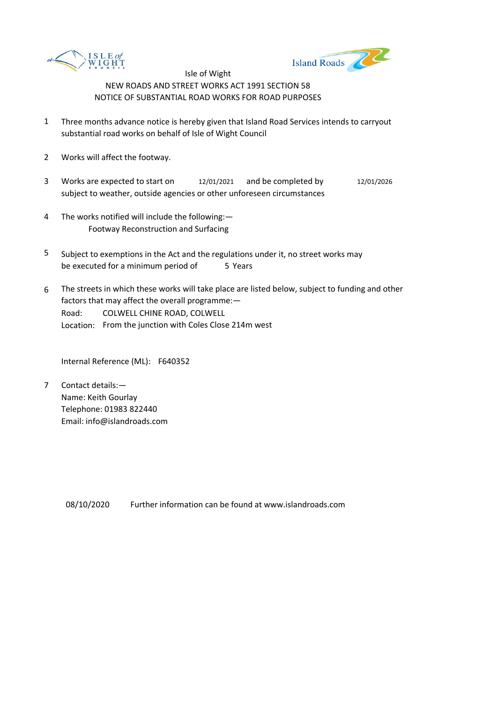



- 1 Three months advance notice is hereby given that Island Road Services intends to carryout substantial road works on behalf of Isle of Wight Council
- 2 Works will affect the footway.
- 3 Works are expected to start on  $12/01/2021$  and be completed by  $12/01/2026$ subject to weather, outside agencies or other unforeseen circumstances
- 4 The works notified will include the following:— Footway Reconstruction and Surfacing
- 5 be executed for a minimum period of 5 Years Subject to exemptions in the Act and the regulations under it, no street works may
- 6 Road: Location: From the junction with Coles Close 214m west The streets in which these works will take place are listed below, subject to funding and other factors that may affect the overall programme:— COLWELL CHINE ROAD, COLWELL

Internal Reference (ML): F640352

7 Contact details:— Name: Keith Gourlay Telephone: 01983 822440 Email: info@islandroads.com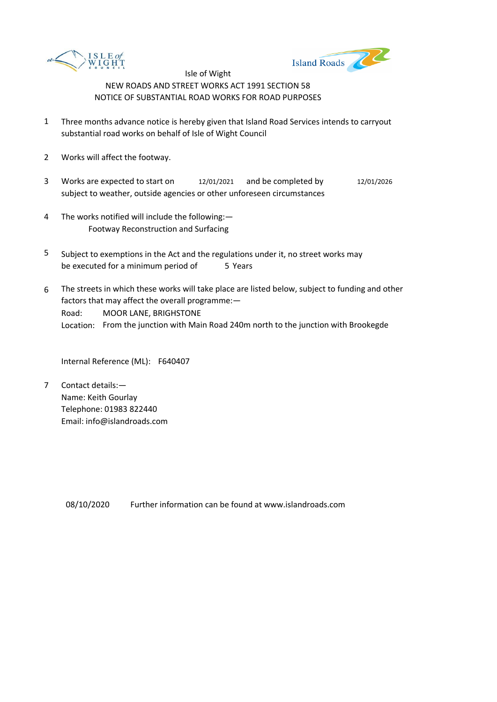



- 1 Three months advance notice is hereby given that Island Road Services intends to carryout substantial road works on behalf of Isle of Wight Council
- 2 Works will affect the footway.
- 3 Works are expected to start on  $12/01/2021$  and be completed by  $12/01/2026$ subject to weather, outside agencies or other unforeseen circumstances
- 4 The works notified will include the following:— Footway Reconstruction and Surfacing
- 5 be executed for a minimum period of 5 Years Subject to exemptions in the Act and the regulations under it, no street works may
- 6 Road: Location: From the junction with Main Road 240m north to the junction with Brookegde The streets in which these works will take place are listed below, subject to funding and other factors that may affect the overall programme:— MOOR LANE, BRIGHSTONE

Internal Reference (ML): F640407

7 Contact details:— Name: Keith Gourlay Telephone: 01983 822440 Email: info@islandroads.com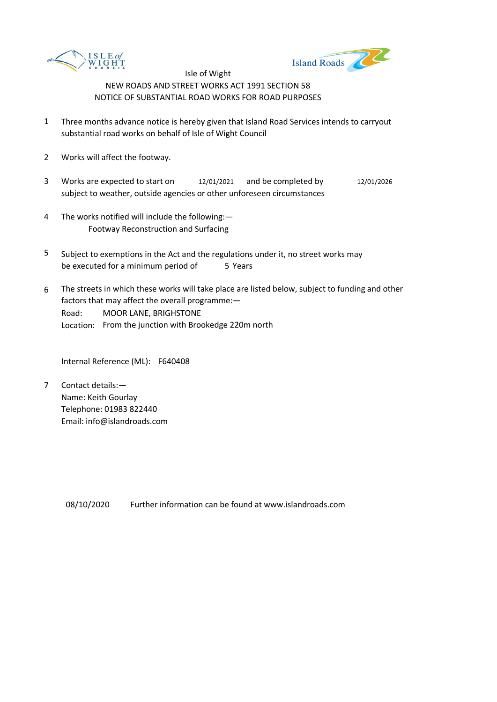



- 1 Three months advance notice is hereby given that Island Road Services intends to carryout substantial road works on behalf of Isle of Wight Council
- 2 Works will affect the footway.
- 3 Works are expected to start on  $12/01/2021$  and be completed by  $12/01/2026$ subject to weather, outside agencies or other unforeseen circumstances
- 4 The works notified will include the following:— Footway Reconstruction and Surfacing
- 5 be executed for a minimum period of 5 Years Subject to exemptions in the Act and the regulations under it, no street works may
- 6 Road: Location: From the junction with Brookedge 220m north The streets in which these works will take place are listed below, subject to funding and other factors that may affect the overall programme:— MOOR LANE, BRIGHSTONE

Internal Reference (ML): F640408

7 Contact details:— Name: Keith Gourlay Telephone: 01983 822440 Email: info@islandroads.com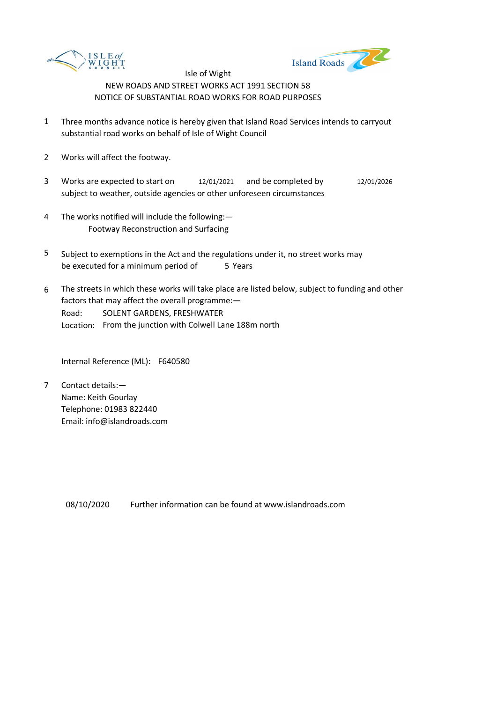



- 1 Three months advance notice is hereby given that Island Road Services intends to carryout substantial road works on behalf of Isle of Wight Council
- 2 Works will affect the footway.
- 3 Works are expected to start on  $12/01/2021$  and be completed by  $12/01/2026$ subject to weather, outside agencies or other unforeseen circumstances
- 4 The works notified will include the following:— Footway Reconstruction and Surfacing
- 5 be executed for a minimum period of 5 Years Subject to exemptions in the Act and the regulations under it, no street works may
- 6 Road: Location: From the junction with Colwell Lane 188m north The streets in which these works will take place are listed below, subject to funding and other factors that may affect the overall programme:— SOLENT GARDENS, FRESHWATER

Internal Reference (ML): F640580

7 Contact details:— Name: Keith Gourlay Telephone: 01983 822440 Email: info@islandroads.com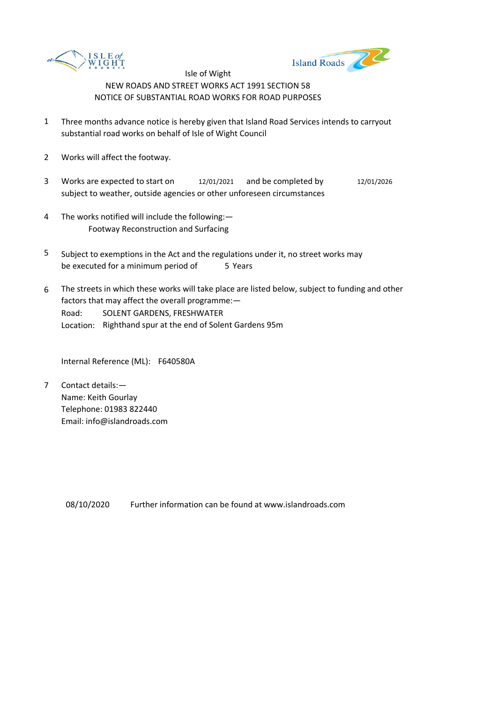



- 1 Three months advance notice is hereby given that Island Road Services intends to carryout substantial road works on behalf of Isle of Wight Council
- 2 Works will affect the footway.
- 3 Works are expected to start on  $12/01/2021$  and be completed by  $12/01/2026$ subject to weather, outside agencies or other unforeseen circumstances
- 4 The works notified will include the following:— Footway Reconstruction and Surfacing
- 5 be executed for a minimum period of 5 Years Subject to exemptions in the Act and the regulations under it, no street works may
- 6 Road: Location: Righthand spur at the end of Solent Gardens 95m The streets in which these works will take place are listed below, subject to funding and other factors that may affect the overall programme:— SOLENT GARDENS, FRESHWATER

Internal Reference (ML): F640580A

7 Contact details:— Name: Keith Gourlay Telephone: 01983 822440 Email: info@islandroads.com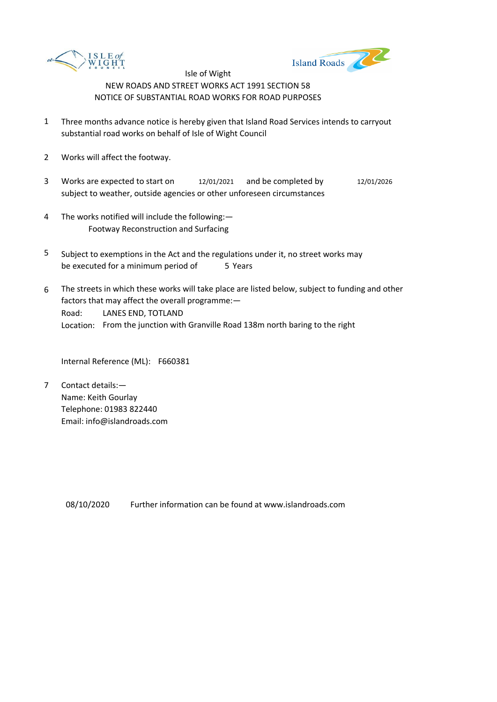



- 1 Three months advance notice is hereby given that Island Road Services intends to carryout substantial road works on behalf of Isle of Wight Council
- 2 Works will affect the footway.
- 3 Works are expected to start on  $12/01/2021$  and be completed by  $12/01/2026$ subject to weather, outside agencies or other unforeseen circumstances
- 4 The works notified will include the following:— Footway Reconstruction and Surfacing
- 5 be executed for a minimum period of 5 Years Subject to exemptions in the Act and the regulations under it, no street works may
- 6 Road: Location: From the junction with Granville Road 138m north baring to the right The streets in which these works will take place are listed below, subject to funding and other factors that may affect the overall programme:— LANES END, TOTLAND

Internal Reference (ML): F660381

7 Contact details:— Name: Keith Gourlay Telephone: 01983 822440 Email: info@islandroads.com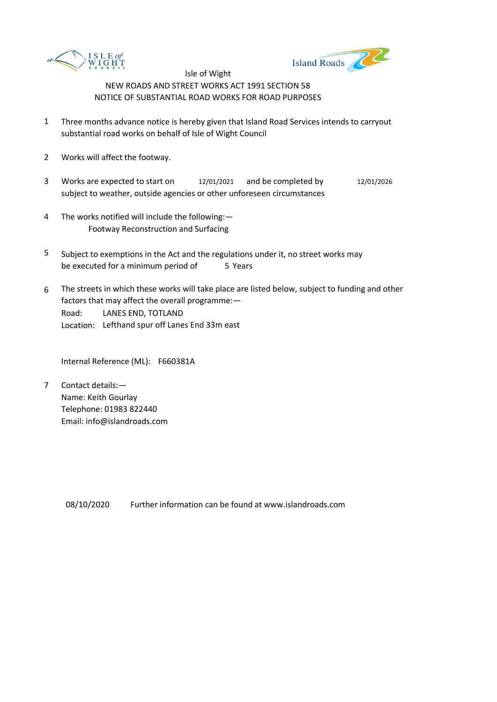



- 1 Three months advance notice is hereby given that Island Road Services intends to carryout substantial road works on behalf of Isle of Wight Council
- 2 Works will affect the footway.
- 3 Works are expected to start on  $12/01/2021$  and be completed by  $12/01/2026$ subject to weather, outside agencies or other unforeseen circumstances
- 4 The works notified will include the following:— Footway Reconstruction and Surfacing
- 5 be executed for a minimum period of 5 Years Subject to exemptions in the Act and the regulations under it, no street works may
- 6 Road: Location: Lefthand spur off Lanes End 33m east The streets in which these works will take place are listed below, subject to funding and other factors that may affect the overall programme:— LANES END, TOTLAND

Internal Reference (ML): F660381A

7 Contact details:— Name: Keith Gourlay Telephone: 01983 822440 Email: info@islandroads.com